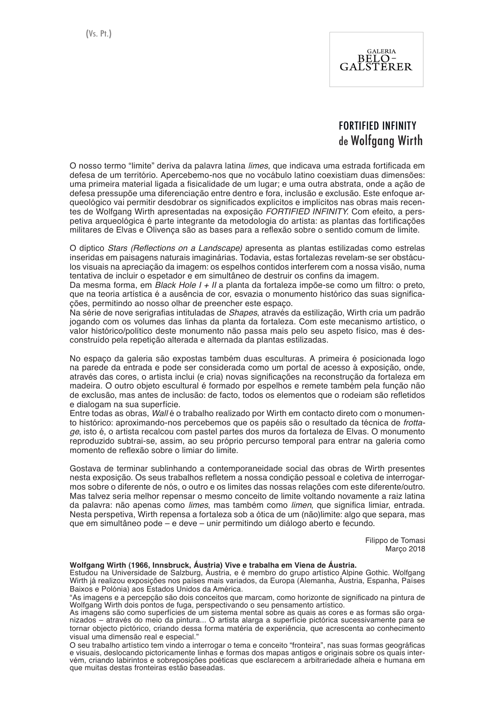

## FORTIFIED INFINITY de Wolfgang Wirth

O nosso termo "limite" deriva da palavra latina *limes*, que indicava uma estrada fortificada em defesa de um território. Apercebemo-nos que no vocábulo latino coexistiam duas dimensões: uma primeira material ligada a fisicalidade de um lugar; e uma outra abstrata, onde a ação de defesa pressupõe uma diferenciação entre dentro e fora, inclusão e exclusão. Este enfoque arqueológico vai permitir desdobrar os significados explícitos e implícitos nas obras mais recentes de Wolfgang Wirth apresentadas na exposição *FORTIFIED INFINITY*. Com efeito, a perspetiva arqueológica é parte integrante da metodologia do artista: as plantas das fortificações militares de Elvas e Olivença são as bases para a reflexão sobre o sentido comum de limite.

O díptico Stars (Reflections on a Landscape) apresenta as plantas estilizadas como estrelas inseridas em paisagens naturais imaginárias. Todavia, estas fortalezas revelam-se ser obstáculos visuais na apreciação da imagem: os espelhos contidos interferem com a nossa visão, numa tentativa de incluir o espetador e em simultâneo de destruir os confins da imagem.

Da mesma forma, em Black Hole I + II a planta da fortaleza impõe-se como um filtro: o preto, que na teoria artística é a ausência de cor, esvazia o monumento histórico das suas significações, permitindo ao nosso olhar de preencher este espaço.

Na série de nove serigrafias intituladas de Shapes, através da estilização, Wirth cria um padrão jogando com os volumes das linhas da planta da fortaleza. Com este mecanismo artístico, o valor histórico/político deste monumento não passa mais pelo seu aspeto físico, mas é desconstruído pela repetição alterada e alternada da plantas estilizadas.

No espaço da galeria são expostas também duas esculturas. A primeira é posicionada logo na parede da entrada e pode ser considerada como um portal de acesso à exposição, onde, através das cores, o artista inclui (e cria) novas significações na reconstrução da fortaleza em madeira. O outro objeto escultural é formado por espelhos e remete também pela função não de exclusão, mas antes de inclusão: de facto, todos os elementos que o rodeiam são refletidos e dialogam na sua superfície.

Entre todas as obras, *Wall* é o trabalho realizado por Wirth em contacto direto com o monumento histórico: aproximando-nos percebemos que os papéis são o resultado da técnica de frotta*ge*, isto é, o artista recalcou com pastel partes dos muros da fortaleza de Elvas. O monumento reproduzido subtrai-se, assim, ao seu próprio percurso temporal para entrar na galeria como momento de reflexão sobre o limiar do limite.

Gostava de terminar sublinhando a contemporaneidade social das obras de Wirth presentes nesta exposição. Os seus trabalhos refletem a nossa condição pessoal e coletiva de interrogarmos sobre o diferente de nós, o outro e os limites das nossas relações com este diferente/outro. Mas talvez seria melhor repensar o mesmo conceito de limite voltando novamente a raiz latina da palavra: não apenas como *limes*, mas também como limen, que significa limiar, entrada. Nesta perspetiva, Wirth repensa a fortaleza sob a ótica de um (não)limite: algo que separa, mas que em simultâneo pode – e deve – unir permitindo um diálogo aberto e fecundo.

 Filippo de Tomasi Março 2018 — Março 2018 — Março 2018

## **Wolfgang Wirth (1966, Innsbruck, Áustria) Vive e trabalha em Viena de Áustria.**

Estudou na Universidade de Salzburg, Áustria, e é membro do grupo artístico Alpine Gothic. Wolfgang Wirth já realizou exposições nos países mais variados, da Europa (Alemanha, Áustria, Espanha, Países Baixos e Polónia) aos Estados Unidos da América.

"As imagens e a percepção são dois conceitos que marcam, como horizonte de significado na pintura de Wolfgang Wirth dois pontos de fuga, perspectivando o seu pensamento artístico.

As imagens são como superfícies de um sistema mental sobre as quais as cores e as formas são organizados – através do meio da pintura... O artista alarga a superfície pictórica sucessivamente para se tornar objecto pictórico, criando dessa forma matéria de experiência, que acrescenta ao conhecimento visual uma dimensão real e especial."

O seu trabalho artístico tem vindo a interrogar o tema e conceito "fronteira", nas suas formas geográficas e visuais, deslocando pictoricamente linhas e formas dos mapas antigos e originais sobre os quais intervém, criando labirintos e sobreposições poéticas que esclarecem a arbitrariedade alheia e humana em que muitas destas fronteiras estão baseadas.